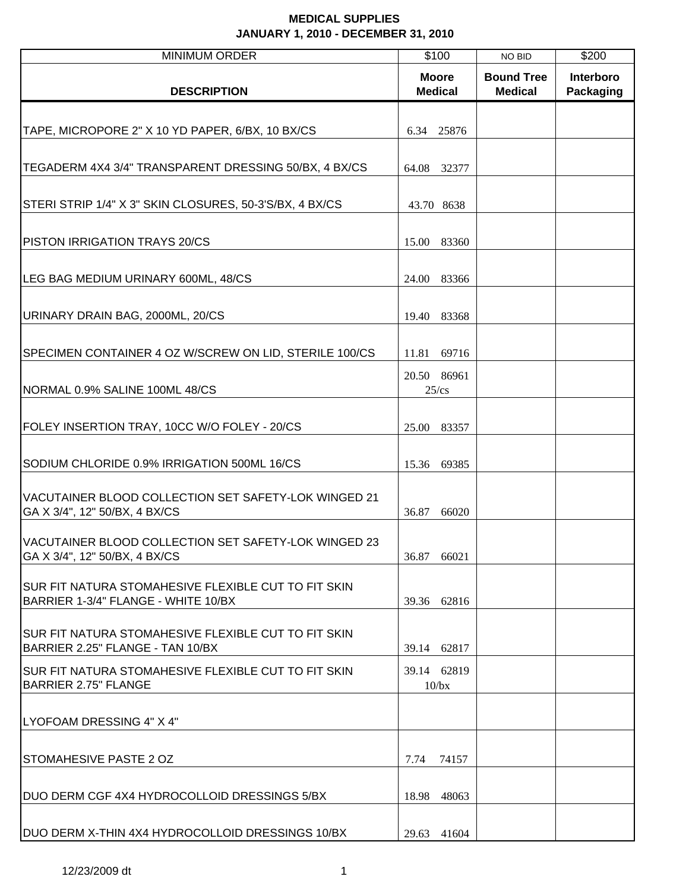| <b>MINIMUM ORDER</b>                                                                        | \$100                          | NO BID                              | \$200                  |
|---------------------------------------------------------------------------------------------|--------------------------------|-------------------------------------|------------------------|
| <b>DESCRIPTION</b>                                                                          | <b>Moore</b><br><b>Medical</b> | <b>Bound Tree</b><br><b>Medical</b> | Interboro<br>Packaging |
| TAPE, MICROPORE 2" X 10 YD PAPER, 6/BX, 10 BX/CS                                            | 6.34 25876                     |                                     |                        |
| TEGADERM 4X4 3/4" TRANSPARENT DRESSING 50/BX, 4 BX/CS                                       | 64.08 32377                    |                                     |                        |
| STERI STRIP 1/4" X 3" SKIN CLOSURES, 50-3'S/BX, 4 BX/CS                                     | 43.70 8638                     |                                     |                        |
| <b>PISTON IRRIGATION TRAYS 20/CS</b>                                                        | 15.00<br>83360                 |                                     |                        |
| LEG BAG MEDIUM URINARY 600ML, 48/CS                                                         | 83366<br>24.00                 |                                     |                        |
| URINARY DRAIN BAG, 2000ML, 20/CS                                                            | 19.40 83368                    |                                     |                        |
| SPECIMEN CONTAINER 4 OZ W/SCREW ON LID, STERILE 100/CS                                      | 11.81 69716                    |                                     |                        |
| NORMAL 0.9% SALINE 100ML 48/CS                                                              | 20.50 86961<br>$25$ /cs        |                                     |                        |
| FOLEY INSERTION TRAY, 10CC W/O FOLEY - 20/CS                                                | 25.00 83357                    |                                     |                        |
| SODIUM CHLORIDE 0.9% IRRIGATION 500ML 16/CS                                                 | 15.36 69385                    |                                     |                        |
| VACUTAINER BLOOD COLLECTION SET SAFETY-LOK WINGED 21<br>GA X 3/4", 12" 50/BX, 4 BX/CS       | 36.87<br>66020                 |                                     |                        |
| VACUTAINER BLOOD COLLECTION SET SAFETY-LOK WINGED 23<br>GA X 3/4", 12" 50/BX, 4 BX/CS       | 36.87 66021                    |                                     |                        |
| ISUR FIT NATURA STOMAHESIVE FLEXIBLE CUT TO FIT SKIN<br>BARRIER 1-3/4" FLANGE - WHITE 10/BX | 39.36 62816                    |                                     |                        |
| ISUR FIT NATURA STOMAHESIVE FLEXIBLE CUT TO FIT SKIN<br>BARRIER 2.25" FLANGE - TAN 10/BX    | 39.14 62817                    |                                     |                        |
| ISUR FIT NATURA STOMAHESIVE FLEXIBLE CUT TO FIT SKIN<br><b>BARRIER 2.75" FLANGE</b>         | 39.14 62819<br>10/bx           |                                     |                        |
| LYOFOAM DRESSING 4" X 4"                                                                    |                                |                                     |                        |
| <b>STOMAHESIVE PASTE 2 OZ</b>                                                               | 7.74<br>74157                  |                                     |                        |
| DUO DERM CGF 4X4 HYDROCOLLOID DRESSINGS 5/BX                                                | 18.98<br>48063                 |                                     |                        |
| DUO DERM X-THIN 4X4 HYDROCOLLOID DRESSINGS 10/BX                                            | 29.63 41604                    |                                     |                        |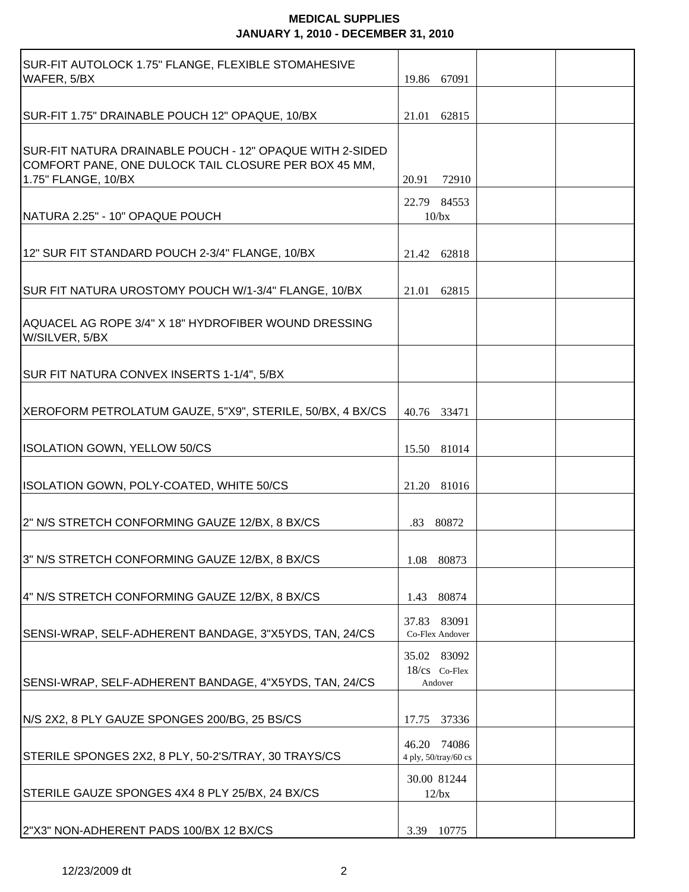| SUR-FIT AUTOLOCK 1.75" FLANGE, FLEXIBLE STOMAHESIVE<br>WAFER, 5/BX                                                                      | 19.86 67091                             |  |
|-----------------------------------------------------------------------------------------------------------------------------------------|-----------------------------------------|--|
| SUR-FIT 1.75" DRAINABLE POUCH 12" OPAQUE, 10/BX                                                                                         | 21.01 62815                             |  |
| SUR-FIT NATURA DRAINABLE POUCH - 12" OPAQUE WITH 2-SIDED<br>COMFORT PANE, ONE DULOCK TAIL CLOSURE PER BOX 45 MM,<br>1.75" FLANGE, 10/BX | 20.91<br>72910                          |  |
| NATURA 2.25" - 10" OPAQUE POUCH                                                                                                         | 22.79 84553<br>10/bx                    |  |
| 12" SUR FIT STANDARD POUCH 2-3/4" FLANGE, 10/BX                                                                                         | 21.42 62818                             |  |
| SUR FIT NATURA UROSTOMY POUCH W/1-3/4" FLANGE, 10/BX                                                                                    | 21.01 62815                             |  |
| AQUACEL AG ROPE 3/4" X 18" HYDROFIBER WOUND DRESSING<br>W/SILVER, 5/BX                                                                  |                                         |  |
| SUR FIT NATURA CONVEX INSERTS 1-1/4", 5/BX                                                                                              |                                         |  |
| XEROFORM PETROLATUM GAUZE, 5"X9", STERILE, 50/BX, 4 BX/CS                                                                               | 40.76 33471                             |  |
| <b>ISOLATION GOWN, YELLOW 50/CS</b>                                                                                                     | 15.50 81014                             |  |
| ISOLATION GOWN, POLY-COATED, WHITE 50/CS                                                                                                | 21.20 81016                             |  |
| 2" N/S STRETCH CONFORMING GAUZE 12/BX, 8 BX/CS                                                                                          | .83 80872                               |  |
| 3" N/S STRETCH CONFORMING GAUZE 12/BX, 8 BX/CS                                                                                          | 1.08<br>80873                           |  |
| 4" N/S STRETCH CONFORMING GAUZE 12/BX, 8 BX/CS                                                                                          | 80874<br>1.43                           |  |
| SENSI-WRAP, SELF-ADHERENT BANDAGE, 3"X5YDS, TAN, 24/CS                                                                                  | 83091<br>37.83<br>Co-Flex Andover       |  |
| SENSI-WRAP, SELF-ADHERENT BANDAGE, 4"X5YDS, TAN, 24/CS                                                                                  | 35.02 83092<br>18/cs Co-Flex<br>Andover |  |
| N/S 2X2, 8 PLY GAUZE SPONGES 200/BG, 25 BS/CS                                                                                           | 37336<br>17.75                          |  |
| STERILE SPONGES 2X2, 8 PLY, 50-2'S/TRAY, 30 TRAYS/CS                                                                                    | 46.20 74086<br>4 ply, 50/tray/60 cs     |  |
| STERILE GAUZE SPONGES 4X4 8 PLY 25/BX, 24 BX/CS                                                                                         | 30.00 81244<br>12/bx                    |  |
| 2"X3" NON-ADHERENT PADS 100/BX 12 BX/CS                                                                                                 | 10775<br>3.39                           |  |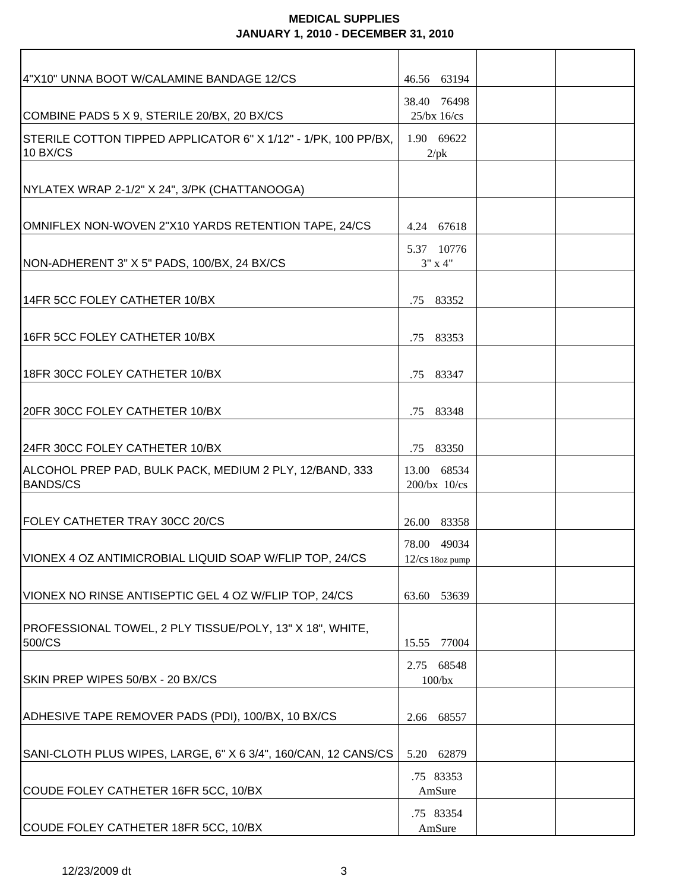| 4"X10" UNNA BOOT W/CALAMINE BANDAGE 12/CS                                  | 46.56 63194                          |  |
|----------------------------------------------------------------------------|--------------------------------------|--|
| COMBINE PADS 5 X 9, STERILE 20/BX, 20 BX/CS                                | 38.40 76498<br>$25$ /bx $16$ /cs     |  |
| STERILE COTTON TIPPED APPLICATOR 6" X 1/12" - 1/PK, 100 PP/BX,<br>10 BX/CS | 1.90 69622<br>$2$ /p $k$             |  |
|                                                                            |                                      |  |
| NYLATEX WRAP 2-1/2" X 24", 3/PK (CHATTANOOGA)                              |                                      |  |
| OMNIFLEX NON-WOVEN 2"X10 YARDS RETENTION TAPE, 24/CS                       | 4.24 67618                           |  |
| NON-ADHERENT 3" X 5" PADS, 100/BX, 24 BX/CS                                | 5.37 10776<br>$3"$ x 4"              |  |
| 14FR 5CC FOLEY CATHETER 10/BX                                              | .75 83352                            |  |
| 16FR 5CC FOLEY CATHETER 10/BX                                              | .75 83353                            |  |
| 18FR 30CC FOLEY CATHETER 10/BX                                             | .75 83347                            |  |
| 20FR 30CC FOLEY CATHETER 10/BX                                             | .75 83348                            |  |
| 24FR 30CC FOLEY CATHETER 10/BX                                             | .75 83350                            |  |
| ALCOHOL PREP PAD, BULK PACK, MEDIUM 2 PLY, 12/BAND, 333<br><b>BANDS/CS</b> | 13.00 68534<br>$200$ /bx $10$ /cs    |  |
| FOLEY CATHETER TRAY 30CC 20/CS                                             | 26.00 83358                          |  |
| VIONEX 4 OZ ANTIMICROBIAL LIQUID SOAP W/FLIP TOP, 24/CS                    | 78.00 49034<br>$12$ / $cs$ 18oz pump |  |
| VIONEX NO RINSE ANTISEPTIC GEL 4 OZ W/FLIP TOP, 24/CS                      | 53639<br>63.60                       |  |
| PROFESSIONAL TOWEL, 2 PLY TISSUE/POLY, 13" X 18", WHITE,<br>500/CS         | 15.55<br>77004                       |  |
| SKIN PREP WIPES 50/BX - 20 BX/CS                                           | 2.75 68548<br>$100$ / $bx$           |  |
| ADHESIVE TAPE REMOVER PADS (PDI), 100/BX, 10 BX/CS                         | 68557<br>2.66                        |  |
| SANI-CLOTH PLUS WIPES, LARGE, 6" X 6 3/4", 160/CAN, 12 CANS/CS             | 62879<br>5.20                        |  |
| COUDE FOLEY CATHETER 16FR 5CC, 10/BX                                       | .75 83353<br>AmSure                  |  |
| COUDE FOLEY CATHETER 18FR 5CC, 10/BX                                       | .75 83354<br>AmSure                  |  |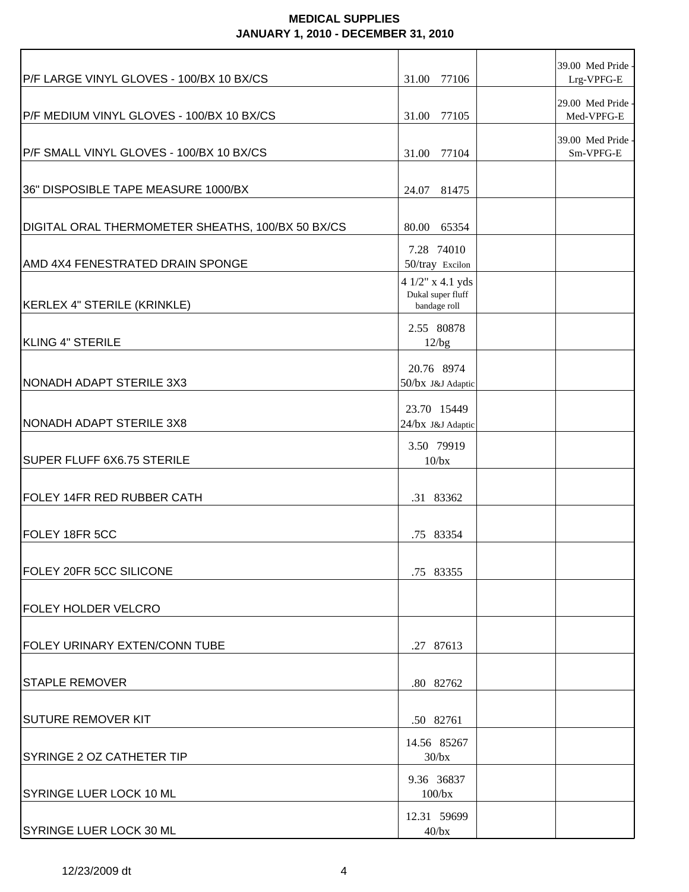| P/F LARGE VINYL GLOVES - 100/BX 10 BX/CS          | 31.00<br>77106                                        | 39.00 Med Pride -<br>Lrg-VPFG-E |
|---------------------------------------------------|-------------------------------------------------------|---------------------------------|
| P/F MEDIUM VINYL GLOVES - 100/BX 10 BX/CS         | 31.00 77105                                           | 29.00 Med Pride -<br>Med-VPFG-E |
| P/F SMALL VINYL GLOVES - 100/BX 10 BX/CS          | 31.00 77104                                           | 39.00 Med Pride -<br>Sm-VPFG-E  |
| 36" DISPOSIBLE TAPE MEASURE 1000/BX               | 24.07 81475                                           |                                 |
| DIGITAL ORAL THERMOMETER SHEATHS, 100/BX 50 BX/CS | 80.00 65354                                           |                                 |
| AMD 4X4 FENESTRATED DRAIN SPONGE                  | 7.28 74010<br>50/tray Excilon                         |                                 |
| KERLEX 4" STERILE (KRINKLE)                       | 4 1/2" x 4.1 yds<br>Dukal super fluff<br>bandage roll |                                 |
| KLING 4" STERILE                                  | 2.55 80878<br>12/bg                                   |                                 |
| NONADH ADAPT STERILE 3X3                          | 20.76 8974<br>50/bx J&J Adaptic                       |                                 |
| NONADH ADAPT STERILE 3X8                          | 23.70 15449<br>24/bx J&J Adaptic                      |                                 |
| SUPER FLUFF 6X6.75 STERILE                        | 3.50 79919<br>10/bx                                   |                                 |
| FOLEY 14FR RED RUBBER CATH                        | .31 83362                                             |                                 |
| FOLEY 18FR 5CC                                    | .75 83354                                             |                                 |
| <b>FOLEY 20FR 5CC SILICONE</b>                    | .75 83355                                             |                                 |
| <b>FOLEY HOLDER VELCRO</b>                        |                                                       |                                 |
| <b>FOLEY URINARY EXTEN/CONN TUBE</b>              | .27 87613                                             |                                 |
| <b>STAPLE REMOVER</b>                             | .80 82762                                             |                                 |
| SUTURE REMOVER KIT                                | .50 82761                                             |                                 |
| <b>SYRINGE 2 OZ CATHETER TIP</b>                  | 14.56 85267<br>$30$ /bx                               |                                 |
| SYRINGE LUER LOCK 10 ML                           | 9.36 36837<br>$100$ / $bx$                            |                                 |
| <b>SYRINGE LUER LOCK 30 ML</b>                    | 12.31 59699<br>$40$ /bx                               |                                 |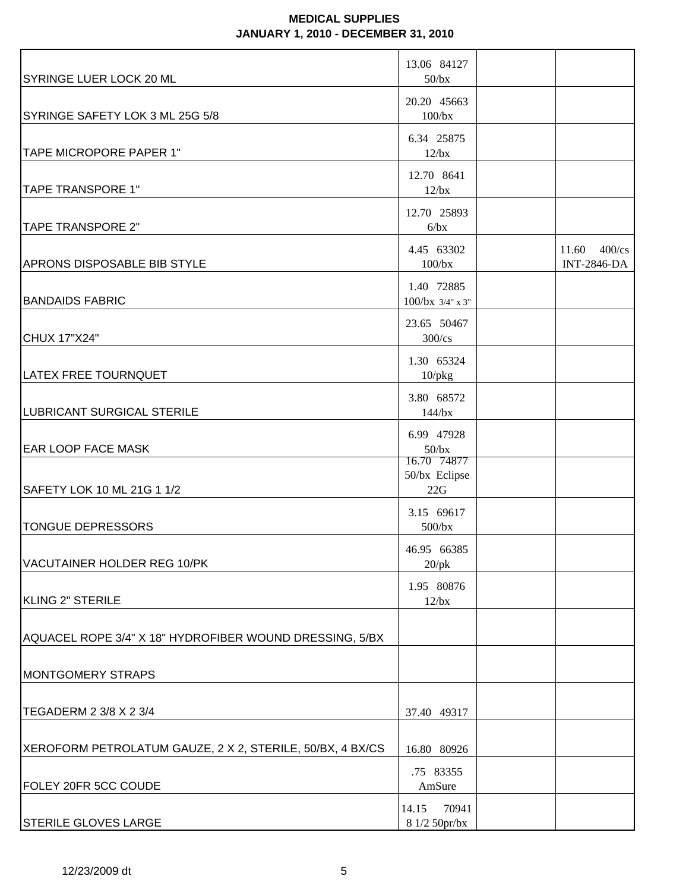| SYRINGE LUER LOCK 20 ML                                   | 13.06 84127<br>$50$ /bx                                |                                                   |
|-----------------------------------------------------------|--------------------------------------------------------|---------------------------------------------------|
| SYRINGE SAFETY LOK 3 ML 25G 5/8                           | 20.20 45663<br>100/bx                                  |                                                   |
| TAPE MICROPORE PAPER 1"                                   | 6.34 25875<br>$12$ /bx                                 |                                                   |
| <b>TAPE TRANSPORE 1"</b>                                  | 12.70 8641<br>$12$ /bx                                 |                                                   |
| <b>TAPE TRANSPORE 2"</b>                                  | 12.70 25893<br>6/bx                                    |                                                   |
| <b>APRONS DISPOSABLE BIB STYLE</b>                        | 4.45 63302<br>100/bx                                   | $11.60 \quad 400/\text{cs}$<br><b>INT-2846-DA</b> |
| <b>BANDAIDS FABRIC</b>                                    | 1.40 72885<br>$100/bx$ 3/4" x 3"                       |                                                   |
| <b>CHUX 17"X24"</b>                                       | 23.65 50467<br>$300$ /cs                               |                                                   |
| LATEX FREE TOURNQUET                                      | 1.30 65324<br>$10$ / $pkg$                             |                                                   |
| LUBRICANT SURGICAL STERILE                                | 3.80 68572<br>144/bx                                   |                                                   |
| <b>EAR LOOP FACE MASK</b>                                 | 6.99 47928<br>$50$ /bx<br>16.70 74877<br>50/bx Eclipse |                                                   |
| SAFETY LOK 10 ML 21G 1 1/2                                | 22G                                                    |                                                   |
| <b>TONGUE DEPRESSORS</b>                                  | 3.15 69617<br>$500$ /bx                                |                                                   |
| VACUTAINER HOLDER REG 10/PK                               | 46.95 66385<br>$20$ /p $k$                             |                                                   |
| KLING 2" STERILE                                          | 1.95 80876<br>12/bx                                    |                                                   |
| AQUACEL ROPE 3/4" X 18" HYDROFIBER WOUND DRESSING, 5/BX   |                                                        |                                                   |
| <b>MONTGOMERY STRAPS</b>                                  |                                                        |                                                   |
| TEGADERM 2 3/8 X 2 3/4                                    | 37.40 49317                                            |                                                   |
| XEROFORM PETROLATUM GAUZE, 2 X 2, STERILE, 50/BX, 4 BX/CS | 16.80 80926                                            |                                                   |
| FOLEY 20FR 5CC COUDE                                      | .75 83355<br>AmSure                                    |                                                   |
| <b>STERILE GLOVES LARGE</b>                               | 70941<br>14.15<br>8 1/2 50pr/bx                        |                                                   |